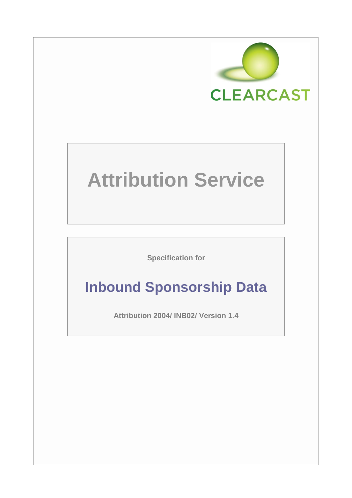

# **Attribution Service**

**Specification for**

# **Inbound Sponsorship Data**

**Attribution 2004/ INB02/ Version 1.4**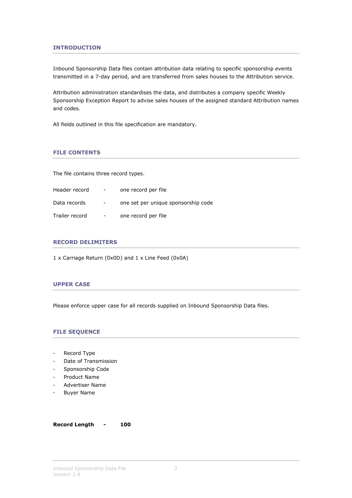## **INTRODUCTION**

Inbound Sponsorship Data files contain attribution data relating to specific sponsorship events transmitted in a 7-day period, and are transferred from sales houses to the Attribution service.

Attribution administration standardises the data, and distributes a company specific Weekly Sponsorship Exception Report to advise sales houses of the assigned standard Attribution names and codes.

All fields outlined in this file specification are mandatory.

# **FILE CONTENTS**

The file contains three record types.

| Header record  | $\sim$                   | one record per file                 |
|----------------|--------------------------|-------------------------------------|
| Data records   | $\overline{\phantom{a}}$ | one set per unique sponsorship code |
| Trailer record | $\overline{\phantom{a}}$ | one record per file                 |

#### **RECORD DELIMITERS**

1 x Carriage Return (0x0D) and 1 x Line Feed (0x0A)

# **UPPER CASE**

Please enforce upper case for all records supplied on Inbound Sponsorship Data files.

#### **FILE SEQUENCE**

- Record Type
- Date of Transmission
- Sponsorship Code
- Product Name
- Advertiser Name
- Buyer Name

**Record Length - 100**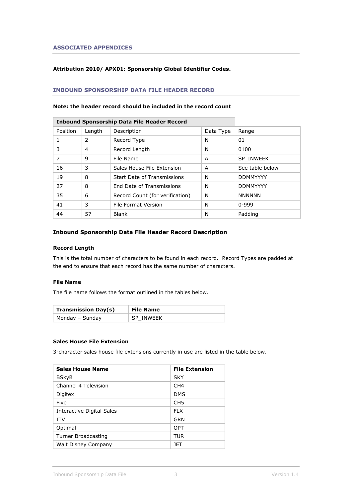#### **ASSOCIATED APPENDICES**

# **Attribution 2010/ APX01: Sponsorship Global Identifier Codes.**

# **INBOUND SPONSORSHIP DATA FILE HEADER RECORD**

#### **Note: the header record should be included in the record count**

| <b>Inbound Sponsorship Data File Header Record</b> |        |                                 |           |                 |
|----------------------------------------------------|--------|---------------------------------|-----------|-----------------|
| Position                                           | Length | Description                     | Data Type | Range           |
|                                                    | 2      | Record Type                     | N         | 01              |
| 3                                                  | 4      | Record Length                   | N         | 0100            |
| 7                                                  | 9      | File Name                       | A         | SP INWEEK       |
| 16                                                 | 3      | Sales House File Extension      | A         | See table below |
| 19                                                 | 8      | Start Date of Transmissions     | N         | <b>DDMMYYYY</b> |
| 27                                                 | 8      | End Date of Transmissions       | N         | <b>DDMMYYYY</b> |
| 35                                                 | 6      | Record Count (for verification) | N         | <b>NNNNNN</b>   |
| 41                                                 | 3      | File Format Version             | N         | $0 - 999$       |
| 44                                                 | 57     | <b>Blank</b><br>N               |           | Padding         |

#### **Inbound Sponsorship Data File Header Record Description**

#### **Record Length**

This is the total number of characters to be found in each record. Record Types are padded at the end to ensure that each record has the same number of characters.

#### **File Name**

The file name follows the format outlined in the tables below.

| <b>Transmission Day(s)</b> | <b>File Name</b> |
|----------------------------|------------------|
| Monday - Sunday            | SP INWEEK        |

#### **Sales House File Extension**

3-character sales house file extensions currently in use are listed in the table below.

| <b>Sales House Name</b>   | <b>File Extension</b> |
|---------------------------|-----------------------|
| <b>BSkyB</b>              | <b>SKY</b>            |
| Channel 4 Television      | CH <sub>4</sub>       |
| Digitex                   | <b>DMS</b>            |
| Five                      | CH <sub>5</sub>       |
| Interactive Digital Sales | <b>FLX</b>            |
| <b>ITV</b>                | GRN                   |
| Optimal                   | <b>OPT</b>            |
| Turner Broadcasting       | TUR                   |
| Walt Disney Company       | 1FT                   |
|                           |                       |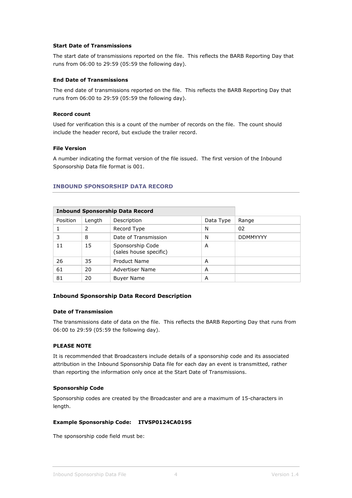#### **Start Date of Transmissions**

The start date of transmissions reported on the file. This reflects the BARB Reporting Day that runs from 06:00 to 29:59 (05:59 the following day).

#### **End Date of Transmissions**

The end date of transmissions reported on the file. This reflects the BARB Reporting Day that runs from 06:00 to 29:59 (05:59 the following day).

#### **Record count**

Used for verification this is a count of the number of records on the file. The count should include the header record, but exclude the trailer record.

#### **File Version**

A number indicating the format version of the file issued. The first version of the Inbound Sponsorship Data file format is 001.

#### **INBOUND SPONSORSHIP DATA RECORD**

|          | <b>Inbound Sponsorship Data Record</b> |                                            |           |                 |
|----------|----------------------------------------|--------------------------------------------|-----------|-----------------|
| Position | Length                                 | Description                                | Data Type |                 |
|          | 2                                      | Record Type                                | N         |                 |
| 3        | 8                                      | N<br>Date of Transmission                  |           | <b>DDMMYYYY</b> |
| 11       | 15                                     | Sponsorship Code<br>(sales house specific) | A         |                 |
| 26       | 35                                     | Product Name<br>A                          |           |                 |
| 61       | 20                                     | Advertiser Name                            | A         |                 |
| 81       | 20                                     | <b>Buyer Name</b><br>A                     |           |                 |

#### **Inbound Sponsorship Data Record Description**

#### **Date of Transmission**

The transmissions date of data on the file. This reflects the BARB Reporting Day that runs from 06:00 to 29:59 (05:59 the following day).

# **PLEASE NOTE**

It is recommended that Broadcasters include details of a sponsorship code and its associated attribution in the Inbound Sponsorship Data file for each day an event is transmitted, rather than reporting the information only once at the Start Date of Transmissions.

#### **Sponsorship Code**

Sponsorship codes are created by the Broadcaster and are a maximum of 15-characters in length.

#### **Example Sponsorship Code: ITVSP0124CA019S**

The sponsorship code field must be: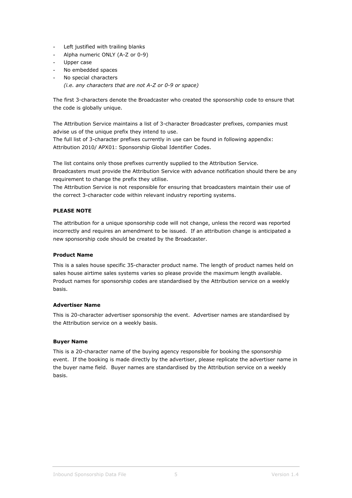- Left justified with trailing blanks
- Alpha numeric ONLY (A-Z or 0-9)
- Upper case
- No embedded spaces
- No special characters
	- *(i.e. any characters that are not A-Z or 0-9 or space)*

The first 3-characters denote the Broadcaster who created the sponsorship code to ensure that the code is globally unique.

The Attribution Service maintains a list of 3-character Broadcaster prefixes, companies must advise us of the unique prefix they intend to use.

The full list of 3-character prefixes currently in use can be found in following appendix: Attribution 2010/ APX01: Sponsorship Global Identifier Codes.

The list contains only those prefixes currently supplied to the Attribution Service. Broadcasters must provide the Attribution Service with advance notification should there be any requirement to change the prefix they utilise.

The Attribution Service is not responsible for ensuring that broadcasters maintain their use of the correct 3-character code within relevant industry reporting systems.

#### **PLEASE NOTE**

The attribution for a unique sponsorship code will not change, unless the record was reported incorrectly and requires an amendment to be issued. If an attribution change is anticipated a new sponsorship code should be created by the Broadcaster.

#### **Product Name**

This is a sales house specific 35-character product name. The length of product names held on sales house airtime sales systems varies so please provide the maximum length available. Product names for sponsorship codes are standardised by the Attribution service on a weekly basis.

#### **Advertiser Name**

This is 20-character advertiser sponsorship the event. Advertiser names are standardised by the Attribution service on a weekly basis.

#### **Buyer Name**

This is a 20-character name of the buying agency responsible for booking the sponsorship event. If the booking is made directly by the advertiser, please replicate the advertiser name in the buyer name field. Buyer names are standardised by the Attribution service on a weekly basis.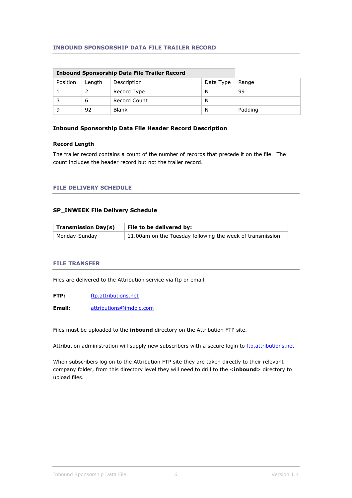# **INBOUND SPONSORSHIP DATA FILE TRAILER RECORD**

|          | <b>Inbound Sponsorship Data File Trailer Record</b> |              |       |         |
|----------|-----------------------------------------------------|--------------|-------|---------|
| Position | Length                                              | Description  | Range |         |
|          |                                                     | Record Type  | N     | 99      |
|          | 6                                                   | Record Count | N     |         |
| q        | 92                                                  | <b>Blank</b> | N     | Padding |

#### **Inbound Sponsorship Data File Header Record Description**

#### **Record Length**

The trailer record contains a count of the number of records that precede it on the file. The count includes the header record but not the trailer record.

#### **FILE DELIVERY SCHEDULE**

# **SP\_INWEEK File Delivery Schedule**

| <b>Transmission Day(s)</b> | File to be delivered by:                                  |  |
|----------------------------|-----------------------------------------------------------|--|
| Monday-Sunday              | 11.00am on the Tuesday following the week of transmission |  |

#### **FILE TRANSFER**

Files are delivered to the Attribution service via ftp or email.

**FTP:** [ftp.attributions.net](ftp://ftp.attributions.net/)

**Email:** [attributions@imdplc.com](mailto:attributions@imdplc.com)

Files must be uploaded to the **inbound** directory on the Attribution FTP site.

Attribution administration will supply new subscribers with a secure login to [ftp.attributions.net](ftp://ftp.attributions.net/)

When subscribers log on to the Attribution FTP site they are taken directly to their relevant company folder, from this directory level they will need to drill to the <inbound> directory to upload files.